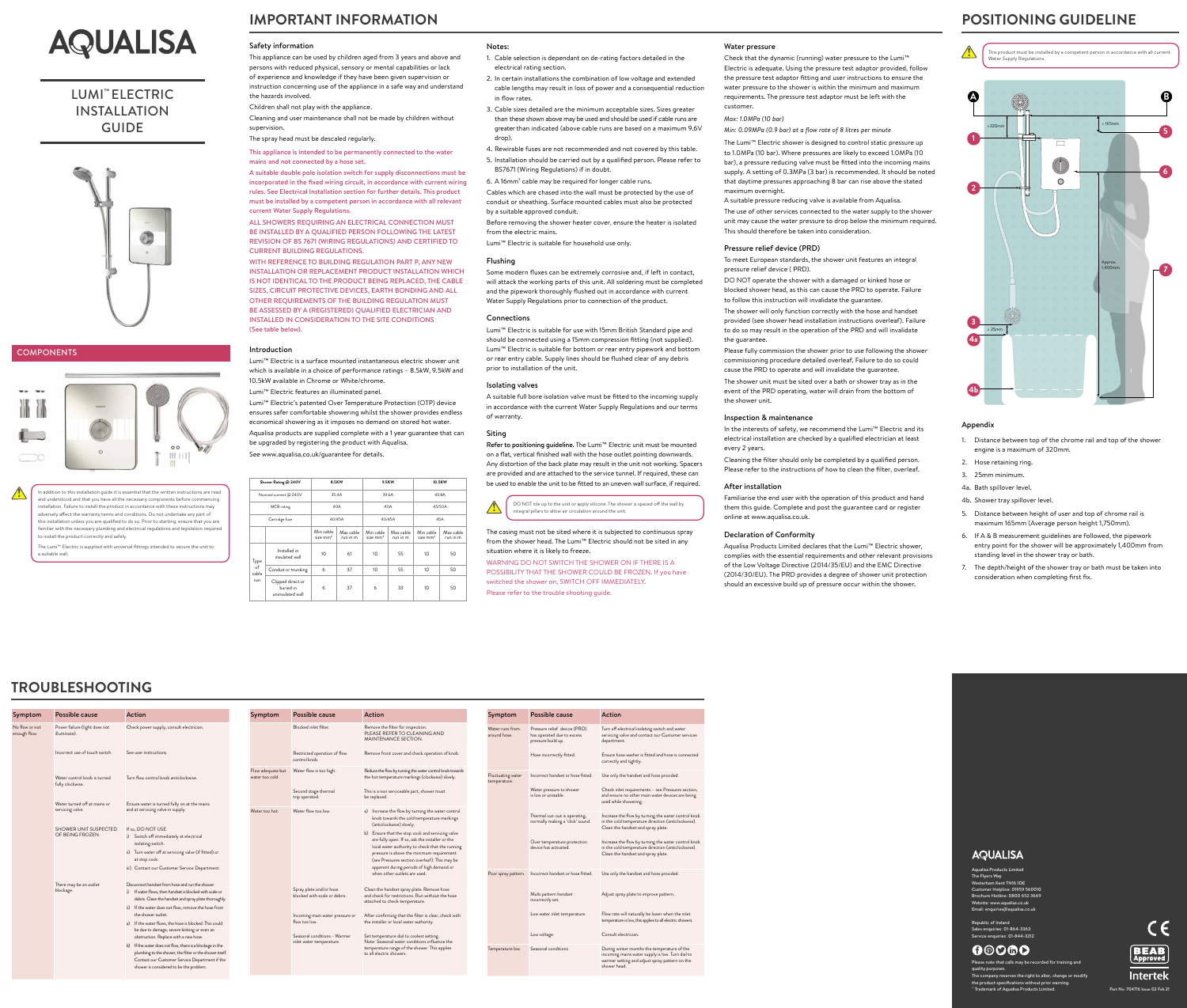# **IMPORTANT INFORMATION**

## **TROUBLESHOOTING**



## LUMI™ ELECTRIC INSTALLATION GUIDE



## **COMPONENTS**

## Safety information

This appliance can be used by children aged from 3 years and above and persons with reduced physical, sensory or mental capabilities or lack of experience and knowledge if they have been given supervision or instruction concerning use of the appliance in a safe way and understand the hazards involved.

Children shall not play with the appliance.

Cleaning and user maintenance shall not be made by children without supervision.

The spray head must be descaled regularly.

This appliance is intended to be permanently connected to the water mains and not connected by a hose set.

A suitable double pole isolation switch for supply disconnections must be incorporated in the fixed wiring circuit, in accordance with current wiring rules. See Electrical Installation section for further details. This product must be installed by a competent person in accordance with all relevant current Water Supply Regulations.

ALL SHOWERS REQUIRING AN ELECTRICAL CONNECTION MUST BE INSTALLED BY A QUALIFIED PERSON FOLLOWING THE LATEST REVISION OF BS 7671 (WIRING REGULATIONS) AND CERTIFIED TO CURRENT BUILDING REGULATIONS.

WITH REFERENCE TO BUILDING REGULATION PART P, ANY NEW INSTALLATION OR REPLACEMENT PRODUCT INSTALLATION WHICH IS NOT IDENTICAL TO THE PRODUCT BEING REPLACED, THE CABLE SIZES, CIRCUIT PROTECTIVE DEVICES, EARTH BONDING AND ALL OTHER REQUIREMENTS OF THE BUILDING REGULATION MUST BE ASSESSED BY A (REGISTERED) QUALIFIED ELECTRICIAN AND INSTALLED IN CONSIDERATION TO THE SITE CONDITIONS (See table below).

## Introduction

Lumi™ Electric is a surface mounted instantaneous electric shower unit which is available in a choice of performance ratings – 8.5kW, 9.5kW and 10.5kW available in Chrome or White/chrome.

Lumi™ Electric features an illuminated panel.

Lumi™ Electric's patented Over Temperature Protection (OTP) device ensures safer comfortable showering whilst the shower provides endless economical showering as it imposes no demand on stored hot water. Aqualisa products are supplied complete with a 1 year guarantee that can be upgraded by registering the product with Aqualisa. See www.aqualisa.co.uk/guarantee for details.

Refer to positioning guideline. The Lumi<sup>™</sup> Electric unit must be mounted on a flat, vertical finished wall with the hose outlet pointing downwards. Any distortion of the back plate may result in the unit not working. Spacers are provided and are attached to the service tunnel. If required, these can be used to enable the unit to be fitted to an uneven wall surface, if required.

| Shower Rating @ 240V       |                                                    | 8.5KW                   |                       | 9.5KW                   |                       | 10.5KW                  |                       |  |
|----------------------------|----------------------------------------------------|-------------------------|-----------------------|-------------------------|-----------------------|-------------------------|-----------------------|--|
|                            | Nominal current @ 240V                             |                         | 35.4A                 |                         | 39.6A                 |                         | 43.8A                 |  |
| MCB rating                 |                                                    | 40A                     |                       | 40A                     |                       | 45/50A                  |                       |  |
|                            | Cartridge fuse                                     |                         | 40/45A                |                         | 40/45A                |                         | 45A                   |  |
|                            |                                                    | Min cable<br>size $mm2$ | Max cable<br>run in m | Min cable<br>size $mm2$ | Max cable<br>run in m | Min cable<br>size $mm2$ | Max cable<br>run in m |  |
| Type<br>of<br>cable<br>run | Installed in<br>insulated wall                     | 10                      | 61                    | 10                      | 55                    | 10                      | 50                    |  |
|                            | Conduit or trunking                                | 6                       | 37                    | 10                      | 55                    | 10 <sup>°</sup>         | 50                    |  |
|                            | Clipped direct or<br>buried in<br>uninsulated wall | 6                       | 37                    | 6                       | 33                    | 10                      | 50                    |  |

## Notes:

1. Cable selection is dependant on de-rating factors detailed in the electrical rating section.

2. In certain installations the combination of low voltage and extended cable lengths may result in loss of power and a consequential reduction in flow rates.

3. Cable sizes detailed are the minimum acceptable sizes. Sizes greater than these shown above may be used and should be used if cable runs are greater than indicated (above cable runs are based on a maximum 9.6V

- 
- 
- 
- drop).

4. Rewirable fuses are not recommended and not covered by this table. 5. Installation should be carried out by a qualified person. Please refer to BS7671 (Wiring Regulations) if in doubt. 6. A 16mm² cable may be required for longer cable runs. Cables which are chased into the wall must be protected by the use of conduit or sheathing. Surface mounted cables must also be protected by a suitable approved conduit.

Before removing the shower heater cover, ensure the heater is isolated from the electric mains. Lumi™ Electric is suitable for household use only.

## Flushing

Some modern fluxes can be extremely corrosive and, if left in contact, will attack the working parts of this unit. All soldering must be completed and the pipework thoroughly flushed out in accordance with current Water Supply Regulations prior to connection of the product.

## **Connections**

Lumi™ Electric is suitable for use with 15mm British Standard pipe and should be connected using a 15mm compression fitting (not supplied). Lumi™ Electric is suitable for bottom or rear entry pipework and bottom or rear entry cable. Supply lines should be flushed clear of any debris prior to installation of the unit.

## Isolating valves

A suitable full bore isolation valve must be fitted to the incoming supply in accordance with the current Water Supply Regulations and our terms of warranty.

# Siting

The casing must not be sited where it is subjected to continuous spray from the shower head. The Lumi™ Electric should not be sited in any situation where it is likely to freeze.

WARNING DO NOT SWITCH THE SHOWER ON IF THERE IS A POSSIBILITY THAT THE SHOWER COULD BE FROZEN. If you have switched the shower on, SWITCH OFF IMMEDIATELY.

Please refer to the trouble shooting guide.

## **POSITIONING GUIDELINE**

nust be installed by a competent person in accordance with all current Regulations.

## Appendix

1. Distance between top of the chrome rail and top of the shower engine is a maximum of 320mm.

4b. Shower tray spillover level.

- 
- 
- 2. Hose retaining ring.
- 3. 25mm minimum.
- 4a. Bath spillover level.
- 
- 6. If A & B measurement guidelines are followed, the pipework
- 

## **AQUALISA**

5. Distance between height of user and top of chrome rail is maximum 165mm (Average person height 1,750mm).

entry point for the shower will be approximately 1,400mm from standing level in the shower tray or bath.

7. The depth/height of the shower tray or bath must be taken into consideration when completing first fix.





## Water pressure

Check that the dynamic (running) water pressure to the Lumi™ Electric is adequate. Using the pressure test adaptor provided, follow the pressure test adaptor fitting and user instructions to ensure the water pressure to the shower is within the minimum and maximum requirements. The pressure test adaptor must be left with the customer.

*Max: 1.0MPa (10 bar)*

*Min: 0.09MPa (0.9 bar) at a flow rate of 8 litres per minute*

The Lumi™ Electric shower is designed to control static pressure up to 1.0MPa (10 bar). Where pressures are likely to exceed 1.0MPa (10 bar), a pressure reducing valve must be fitted into the incoming mains supply. A setting of 0.3MPa (3 bar) is recommended. It should be noted that daytime pressures approaching 8 bar can rise above the stated maximum overnight.

A suitable pressure reducing valve is available from Aqualisa.

The use of other services connected to the water supply to the shower unit may cause the water pressure to drop below the minimum required. This should therefore be taken into consideration.

## Pressure relief device (PRD)

To meet European standards, the shower unit features an integral pressure relief device ( PRD).

DO NOT operate the shower with a damaged or kinked hose or blocked shower head, as this can cause the PRD to operate. Failure to follow this instruction will invalidate the guarantee.

The shower will only function correctly with the hose and handset provided (see shower head installation instructions overleaf). Failure to do so may result in the operation of the PRD and will invalidate the guarantee.

Please fully commission the shower prior to use following the shower commissioning procedure detailed overleaf. Failure to do so could cause the PRD to operate and will invalidate the guarantee.

The shower unit must be sited over a bath or shower tray as in the event of the PRD operating, water will drain from the bottom of the shower unit.

## Inspection & maintenance

| Symptom                        | <b>Possible cause</b>                            | Action                                                                                                                                                                                                             | Symptom                              | Possible cause                                           | Action                                                                                                                                                                                                                         | Symptom                           | <b>Possible cause</b>                                                            | Action                                                                                                                                                                                |
|--------------------------------|--------------------------------------------------|--------------------------------------------------------------------------------------------------------------------------------------------------------------------------------------------------------------------|--------------------------------------|----------------------------------------------------------|--------------------------------------------------------------------------------------------------------------------------------------------------------------------------------------------------------------------------------|-----------------------------------|----------------------------------------------------------------------------------|---------------------------------------------------------------------------------------------------------------------------------------------------------------------------------------|
| No flow or not<br>enough flow. | Power failure (light does not<br>illuminate).    | Check power supply, consult electrician.                                                                                                                                                                           |                                      | Blocked inlet filter.                                    | Remove the filter for inspection.<br>PLEASE REFER TO CLEANING AND<br>MAINTENANCE SECTION.                                                                                                                                      | Water runs from<br>around hose.   | Pressure relief device (PRD)<br>has operated due to excess<br>pressure build up. | Turn off electrical isolating switch and water<br>servicing valve and contact our Customer services<br>department.                                                                    |
|                                | Incorrect use of touch switch.                   | See user instructions.                                                                                                                                                                                             |                                      | Restricted operation of flow<br>control knob.            | Remove front cover and check operation of knob.                                                                                                                                                                                |                                   | Hose incorrectly fitted.                                                         | Ensure hose washer is fitted and hose is connected<br>correctly and tightly.                                                                                                          |
|                                | Water control knob is turned<br>fully clockwise. | Turn flow control knob anticlockwise.                                                                                                                                                                              | Flow adequate but<br>water too cold. | Water flow is too high.                                  | Reduce the flow by turning the water control knob towards<br>the hot temperature markings (clockwise) slowly.                                                                                                                  | Fluctuating water<br>temperature. | Incorrect handset or hose fitted.                                                | Use only the handset and hose provided.                                                                                                                                               |
|                                |                                                  |                                                                                                                                                                                                                    |                                      | Second stage thermal<br>trip operated.                   | This is a non serviceable part, shower must<br>be replaced.                                                                                                                                                                    |                                   | Water pressure to shower<br>is low or unstable.                                  | Check inlet requirements - see Pressures section,<br>and ensure no other main water devices are being<br>used while showering.                                                        |
|                                | Water turned off at mains or<br>servicing valve. | Ensure water is turned fully on at the mains<br>and at servicing valve in supply.                                                                                                                                  | Water too hot.                       | Water flow too low.                                      | a) Increase the flow by turning the water control<br>knob towards the cold temperature markings                                                                                                                                |                                   | Thermal cut-out is operating,<br>normally making a 'click' sound.                | Increase the flow by turning the water control knob<br>in the cold temperature direction (anticlockwise).                                                                             |
|                                | <b>SHOWER UNIT SUSPECTED</b><br>OF BEING FROZEN. | If so, DO NOT USE.<br>i) Switch off immediately at electrical<br>isolating switch.<br>ii) Turn water off at servicing valve (if fitted) or                                                                         |                                      |                                                          | (anticlockwise) slowly.<br>b) Ensure that the stop cock and servicing valve<br>are fully open. If so, ask the installer or the<br>local water authority to check that the running<br>pressure is above the minimum requirement |                                   | Over temperature protection<br>device has activated.                             | Clean the handset and spray plate.<br>Increase the flow by turning the water control knob<br>in the cold temperature direction (anticlockwise).<br>Clean the handset and spray plate. |
|                                |                                                  | at stop cock.<br>iii) Contact our Customer Service Department.                                                                                                                                                     |                                      |                                                          | (see Pressures section overleaf). This may be<br>apparent during periods of high demand or                                                                                                                                     |                                   |                                                                                  |                                                                                                                                                                                       |
|                                | There may be an outlet                           | Disconnect handset from hose and run the shower.                                                                                                                                                                   |                                      |                                                          | when other outlets are used.                                                                                                                                                                                                   |                                   | Poor spray pattern. Incorrect handset or hose fitted.                            | Use only the handset and hose provided.                                                                                                                                               |
|                                | blockage.                                        | i) If water flows, then handset is blocked with scale or<br>debris. Clean the handset and spray plate thoroughly.                                                                                                  |                                      | Spray plate and/or hose<br>blocked with scale or debris. | Clean the handset spray plate. Remove hose<br>and check for restrictions. Run without the hose<br>attached to check temperature.                                                                                               |                                   | Multi pattern handset<br>incorrectly set.                                        | Adjust spray plate to improve pattern.                                                                                                                                                |
|                                |                                                  | ii) If the water does not flow, remove the hose from<br>the shower outlet.<br>a) If the water flows, the hose is blocked. This could                                                                               |                                      | Incoming main water pressure or<br>flow too low.         | After confirming that the filter is clear, check with<br>the installer or local water authority.                                                                                                                               |                                   | Low water inlet temperature.                                                     | Flow rate will naturally be lower when the inlet<br>temperature is low, this applies to all electric showers.                                                                         |
|                                |                                                  | be due to damage, severe kinking or even an<br>obstruction. Replace with a new hose.                                                                                                                               |                                      | Seasonal conditions - Warmer<br>inlet water temperature. | Set temperature dial to coolest setting.<br>Note: Seasonal water conditions influence the                                                                                                                                      |                                   | Low voltage.                                                                     | Consult electrician.                                                                                                                                                                  |
|                                |                                                  | b) If the water does not flow, there is a blockage in the<br>plumbing to the shower, the filter or the shower itself.<br>Contact our Customer Service Department if the<br>shower is considered to be the problem. |                                      |                                                          | temperature range of the shower. This applies<br>to all electric showers.                                                                                                                                                      | Temperature low                   | Seasonal conditions                                                              | During winter months the temperature of the<br>incoming mains water supply is low. Turn dial to<br>warmer setting and adjust spray pattern on the<br>shower head.                     |

In the interests of safety, we recommend the Lumi™ Electric and its electrical installation are checked by a qualified electrician at least every 2 years.

Cleaning the filter should only be completed by a qualified person. Please refer to the instructions of how to clean the filter, overleaf.

## After installation

Familiarise the end user with the operation of this product and hand them this guide. Complete and post the guarantee card or register online at www.aqualisa.co.uk.

## Declaration of Conformity

Aqualisa Products Limited declares that the Lumi™ Electric shower, complies with the essential requirements and other relevant provisions of the Low Voltage Directive (2014/35/EU) and the EMC Directive (2014/30/EU). The PRD provides a degree of shower unit protection should an excessive build up of pressure occur within the shower.

| c                       | This product r<br>Water Supply                                           |
|-------------------------|--------------------------------------------------------------------------|
|                         |                                                                          |
|                         |                                                                          |
|                         | $\overline{\phantom{0}}$<br>$\overline{\phantom{0}}$<br>C<br>Œ<br>Ō<br>C |
|                         | í<br>Ĉ                                                                   |
|                         | <320mm                                                                   |
| 1                       |                                                                          |
|                         | Ù                                                                        |
|                         | $\bigcirc$<br>C<br>$\overline{\mathbb{C}}$                               |
|                         | $\bigcirc$<br>C<br>C                                                     |
|                         | C                                                                        |
|                         | $\overline{C}$<br>C<br>C                                                 |
| $\overline{\mathbf{2}}$ |                                                                          |
|                         | C<br>C<br>C<br>C<br>Ċ<br>C                                               |
|                         | C<br>C                                                                   |
|                         | $\overline{\mathbb{C}}$<br>C                                             |
|                         | Ċ<br>$\overline{\mathbb{C}}$                                             |
|                         | Ĉ<br>$\overline{\mathbb{C}}$<br>$\subset$                                |
|                         | $\overline{\mathbb{C}}$<br>C                                             |
|                         |                                                                          |
|                         | O<br>C                                                                   |
|                         | C<br>Č                                                                   |
|                         | C<br>C                                                                   |
|                         | Ċ                                                                        |
|                         | C                                                                        |
| 3<br>4a                 |                                                                          |
|                         | ţ<br>25mm<br>$\overline{ }$                                              |
|                         |                                                                          |
|                         | $\subset$<br>i.                                                          |
|                         | C                                                                        |
|                         | C                                                                        |
|                         | C                                                                        |
| 4                       |                                                                          |
|                         |                                                                          |
|                         |                                                                          |

Aqualisa Products Limited The Flyers Way Westerham Kent TN16 1DE Customer Helpline: 01959 560010 Brochure Hotline: 0800 652 3669 Website: www.aqualisa.co.uk Email: enquiries@aqualisa.co.uk

## $00000$

Republic of Ireland

Sales enquiries: 01-864-3363 Service enquiries: 01-844-3212



Please note that calls may be recorded for training and

quality purposes.

The company reserves the right to alter, change or modify the product specifications without prior warning. ™ Trademark of Aqualisa Products Limited. Part No: 704716 Issue 02 Feb 21



In addition to this installation guide it is essential that the written instructions are read and understood and that you have all the necessary components before commencing installation. Failure to install the product in accordance with these instructions may adversely affect the warranty terms and conditions. Do not undertake any part of this installation unless you are qualified to do so. Prior to starting, ensure that you are familiar with the necessary plumbing and electrical regulations and legislation required to install the product correctly and safely.

The Lumi™ Electric is supplied with universal fittings intended to secure the unit to a suitable wall.

**!**



DO NOT tile up to the unit or apply silicone. The shower is spaced off the wall by integral pillars to allow air circulation around the unit.